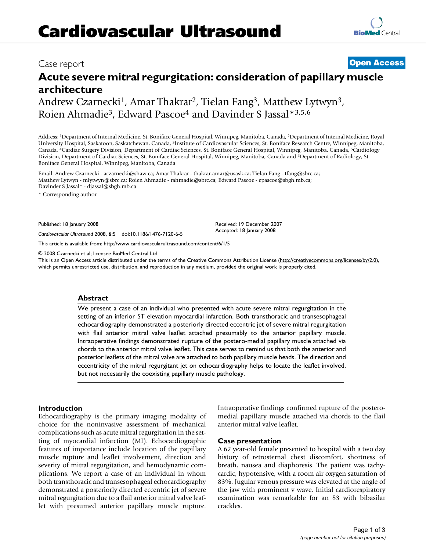## Case report **[Open Access](http://www.biomedcentral.com/info/about/charter/)**

# **Acute severe mitral regurgitation: consideration of papillary muscle architecture**

Andrew Czarnecki<sup>1</sup>, Amar Thakrar<sup>2</sup>, Tielan Fang<sup>3</sup>, Matthew Lytwyn<sup>3</sup>, Roien Ahmadie3, Edward Pascoe4 and Davinder S Jassal\*3,5,6

Address: 1Department of Internal Medicine, St. Boniface General Hospital, Winnipeg, Manitoba, Canada, 2Department of Internal Medicine, Royal University Hospital, Saskatoon, Saskatchewan, Canada, 3Institute of Cardiovascular Sciences, St. Boniface Research Centre, Winnipeg, Manitoba, Canada, 4Cardiac Surgery Division, Department of Cardiac Sciences, St. Boniface General Hospital, Winnipeg, Manitoba, Canada, 5Cardiology Division, Department of Cardiac Sciences, St. Boniface General Hospital, Winnipeg, Manitoba, Canada and 6Department of Radiology, St. Boniface General Hospital, Winnipeg, Manitoba, Canada

Email: Andrew Czarnecki - aczarnecki@shaw.ca; Amar Thakrar - thakrar.amar@usask.ca; Tielan Fang - tfang@sbrc.ca; Matthew Lytwyn - mlytwyn@sbrc.ca; Roien Ahmadie - rahmadie@sbrc.ca; Edward Pascoe - epascoe@sbgh.mb.ca; Davinder S Jassal\* - djassal@sbgh.mb.ca

\* Corresponding author

Published: 18 January 2008

*Cardiovascular Ultrasound* 2008, **6**:5 doi:10.1186/1476-7120-6-5

[This article is available from: http://www.cardiovascularultrasound.com/content/6/1/5](http://www.cardiovascularultrasound.com/content/6/1/5)

© 2008 Czarnecki et al; licensee BioMed Central Ltd.

This is an Open Access article distributed under the terms of the Creative Commons Attribution License [\(http://creativecommons.org/licenses/by/2.0\)](http://creativecommons.org/licenses/by/2.0), which permits unrestricted use, distribution, and reproduction in any medium, provided the original work is properly cited.

#### **Abstract**

We present a case of an individual who presented with acute severe mitral regurgitation in the setting of an inferior ST elevation myocardial infarction. Both transthoracic and transesophageal echocardiography demonstrated a posteriorly directed eccentric jet of severe mitral regurgitation with flail anterior mitral valve leaflet attached presumably to the anterior papillary muscle. Intraoperative findings demonstrated rupture of the postero-medial papillary muscle attached via chords to the anterior mitral valve leaflet. This case serves to remind us that both the anterior and posterior leaflets of the mitral valve are attached to both papillary muscle heads. The direction and eccentricity of the mitral regurgitant jet on echocardiography helps to locate the leaflet involved, but not necessarily the coexisting papillary muscle pathology.

#### **Introduction**

Echocardiography is the primary imaging modality of choice for the noninvasive assessment of mechanical complications such as acute mitral regurgitation in the setting of myocardial infarction (MI). Echocardiographic features of importance include location of the papillary muscle rupture and leaflet involvement, direction and severity of mitral regurgitation, and hemodynamic complications. We report a case of an individual in whom both transthoracic and transesophageal echocardiography demonstrated a posteriorly directed eccentric jet of severe mitral regurgitation due to a flail anterior mitral valve leaflet with presumed anterior papillary muscle rupture. Intraoperative findings confirmed rupture of the posteromedial papillary muscle attached via chords to the flail anterior mitral valve leaflet.

#### **Case presentation**

Received: 19 December 2007 Accepted: 18 January 2008

A 62 year-old female presented to hospital with a two day history of retrosternal chest discomfort, shortness of breath, nausea and diaphoresis. The patient was tachycardic, hypotensive, with a room air oxygen saturation of 83%. Jugular venous pressure was elevated at the angle of the jaw with prominent v wave. Initial cardiorespiratory examination was remarkable for an S3 with bibasilar crackles.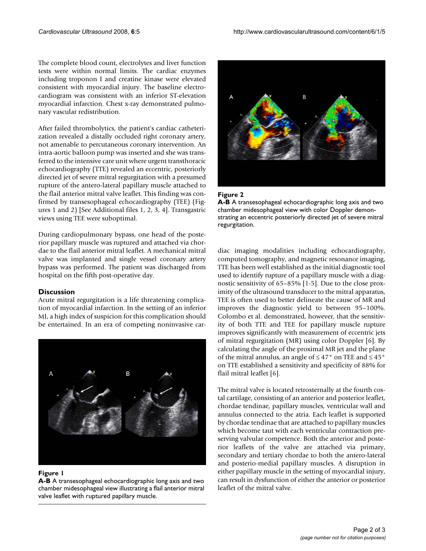The complete blood count, electrolytes and liver function tests were within normal limits. The cardiac enzymes including troponon I and creatine kinase were elevated consistent with myocardial injury. The baseline electrocardiogram was consistent with an inferior ST-elevation myocardial infarction. Chest x-ray demonstrated pulmonary vascular redistribution.

After failed thrombolytics, the patient's cardiac catheterization revealed a distally occluded right coronary artery, not amenable to percutaneous coronary intervention. An intra-aortic balloon pump was inserted and she was transferred to the intensive care unit where urgent transthoracic echocardiography (TTE) revealed an eccentric, posteriorly directed jet of severe mitral regurgitation with a presumed rupture of the antero-lateral papillary muscle attached to the flail anterior mitral valve leaflet. This finding was confirmed by transesophageal echocardiography (TEE) (Figures 1 and 2) [See Additional files 1, 2, 3, 4]. Transgastric views using TEE were suboptimal.

During cardiopulmonary bypass, one head of the posterior papillary muscle was ruptured and attached via chordae to the flail anterior mitral leaflet. A mechanical mitral valve was implanted and single vessel coronary artery bypass was performed. The patient was discharged from hospital on the fifth post-operative day.

### **Discussion**

Acute mitral regurgitation is a life threatening complication of myocardial infarction. In the setting of an inferior MI, a high index of suspicion for this complication should be entertained. In an era of competing noninvasive car-



#### **Figure I**

**A-B** A transesophageal echocardiographic long axis and two chamber midesophageal view illustrating a flail anterior mitral valve leaflet with ruptured papillary muscle.





**A-B** A transesophageal echocardiographic long axis and two chamber midesophageal view with color Doppler demonstrating an eccentric posteriorly directed jet of severe mitral regurgitation.

diac imaging modalities including echocardiography, computed tomography, and magnetic resonance imaging, TTE has been well established as the initial diagnostic tool used to identify rupture of a papillary muscle with a diagnostic sensitivity of 65–85% [1-5]. Due to the close proximity of the ultrasound transducer to the mitral apparatus, TEE is often used to better delineate the cause of MR and improves the diagnostic yield to between 95–100%. Colombo et al. demonstrated, however, that the sensitivity of both TTE and TEE for papillary muscle rupture improves significantly with measurement of eccentric jets of mitral regurgitation (MR) using color Doppler [6]. By calculating the angle of the proximal MR jet and the plane of the mitral annulus, an angle of  $\leq 47^{\circ}$  on TEE and  $\leq 45^{\circ}$ on TTE established a sensitivity and specificity of 88% for flail mitral leaflet [6].

The mitral valve is located retrosternally at the fourth costal cartilage, consisting of an anterior and posterior leaflet, chordae tendinae, papillary muscles, ventricular wall and annulus connected to the atria. Each leaflet is supported by chordae tendinae that are attached to papillary muscles which become taut with each ventricular contraction preserving valvular competence. Both the anterior and posterior leaflets of the valve are attached via primary, secondary and tertiary chordae to both the antero-lateral and posterio-medial papillary muscles. A disruption in either papillary muscle in the setting of myocardial injury, can result in dysfunction of either the anterior or posterior leaflet of the mitral valve.